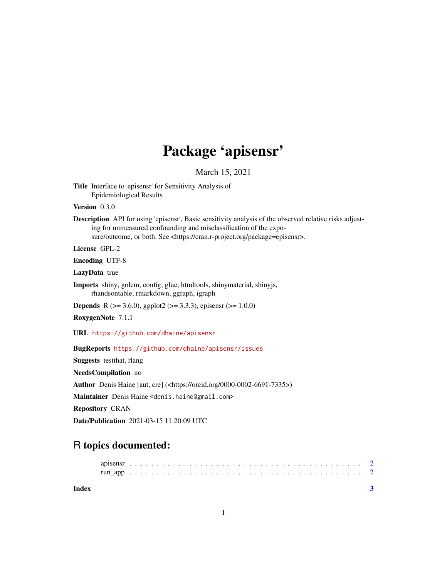## Package 'apisensr'

March 15, 2021

Title Interface to 'episensr' for Sensitivity Analysis of Epidemiological Results

Version 0.3.0

Description API for using 'episensr', Basic sensitivity analysis of the observed relative risks adjusting for unmeasured confounding and misclassification of the exposure/outcome, or both. See <https://cran.r-project.org/package=episensr>.

License GPL-2

Encoding UTF-8

LazyData true

Imports shiny, golem, config, glue, htmltools, shinymaterial, shinyjs, rhandsontable, rmarkdown, ggraph, igraph

**Depends** R ( $>= 3.6.0$ ), ggplot2 ( $>= 3.3.3$ ), episensr ( $>= 1.0.0$ )

RoxygenNote 7.1.1

URL <https://github.com/dhaine/apisensr>

BugReports <https://github.com/dhaine/apisensr/issues>

Suggests testthat, rlang

NeedsCompilation no

Author Denis Haine [aut, cre] (<https://orcid.org/0000-0002-6691-7335>)

Maintainer Denis Haine <denis.haine@gmail.com>

Repository CRAN

Date/Publication 2021-03-15 11:20:09 UTC

### R topics documented:

| apisens respectively. The contract of the contract of the contract of the contract of $\sim$ |  |  |  |  |  |  |  |  |  |  |  |  |  |  |  |  |
|----------------------------------------------------------------------------------------------|--|--|--|--|--|--|--|--|--|--|--|--|--|--|--|--|
|                                                                                              |  |  |  |  |  |  |  |  |  |  |  |  |  |  |  |  |

**Index** [3](#page-2-0)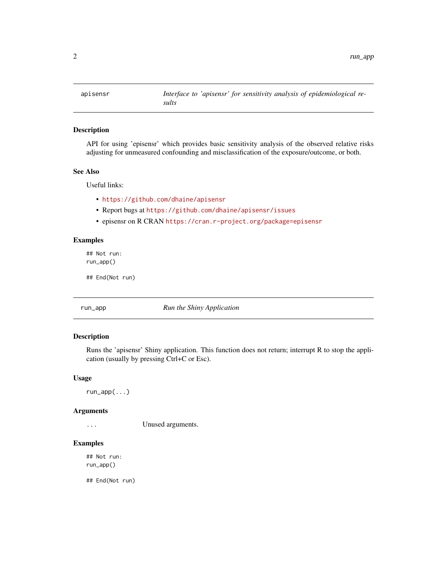<span id="page-1-0"></span>

#### Description

API for using 'episensr' which provides basic sensitivity analysis of the observed relative risks adjusting for unmeasured confounding and misclassification of the exposure/outcome, or both.

#### See Also

Useful links:

- <https://github.com/dhaine/apisensr>
- Report bugs at <https://github.com/dhaine/apisensr/issues>
- episensr on R CRAN <https://cran.r-project.org/package=episensr>

#### Examples

## Not run: run\_app()

## End(Not run)

run\_app *Run the Shiny Application*

#### Description

Runs the 'apisensr' Shiny application. This function does not return; interrupt R to stop the application (usually by pressing Ctrl+C or Esc).

#### Usage

run\_app(...)

#### Arguments

... Unused arguments.

#### Examples

## Not run: run\_app()

## End(Not run)